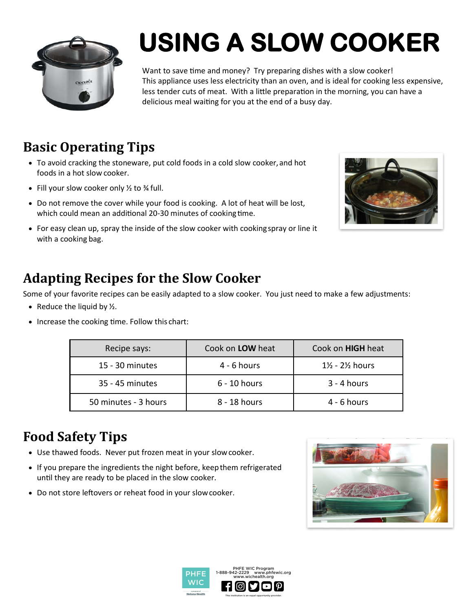

# **USING A SLOW COOKER**

Want to save time and money? Try preparing dishes with a slow cooker! This appliance uses less electricity than an oven, and is ideal for cooking less expensive, less tender cuts of meat. With a little preparation in the morning, you can have a delicious meal waiting for you at the end of a busy day.

#### **Basic Operating Tips**

- To avoid cracking the stoneware, put cold foods in a cold slow cooker, and hot foods in a hot slow cooker.
- Fill your slow cooker only  $\frac{1}{2}$  to  $\frac{3}{4}$  full.
- Do not remove the cover while your food is cooking. A lot of heat will be lost, which could mean an additional 20-30 minutes of cooking time.
- For easy clean up, spray the inside of the slow cooker with cookingspray or line it with a cooking bag.



#### **Adapting Recipes for the Slow Cooker**

Some of your favorite recipes can be easily adapted to a slow cooker. You just need to make a few adjustments:

- Reduce the liquid by  $\frac{1}{2}$ .
- Increase the cooking time. Follow this chart:

| Recipe says:         | Cook on <b>LOW</b> heat | Cook on HIGH heat                      |
|----------------------|-------------------------|----------------------------------------|
| 15 - 30 minutes      | $4 - 6$ hours           | $1\frac{1}{2}$ - 2 $\frac{1}{2}$ hours |
| 35 - 45 minutes      | 6 - 10 hours            | $3 - 4$ hours                          |
| 50 minutes - 3 hours | 8 - 18 hours            | $4 - 6$ hours                          |

#### **Food Safety Tips**

- Use thawed foods. Never put frozen meat in your slowcooker.
- If you prepare the ingredients the night before, keep them refrigerated until they are ready to be placed in the slow cooker.
- Do not store leftovers or reheat food in your slowcooker.